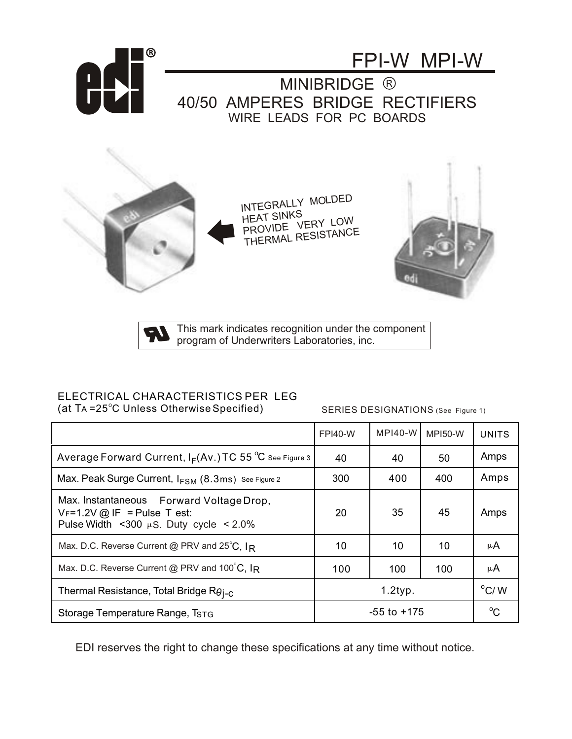

This mark indicates recognition under the component program of Underwriters Laboratories, inc.

## ELECTRICAL CHARACTERISTICS PER LEG

(at T $A = 25^{\circ}$ C Unless Otherwise Specified)

SERIES DESIGNATIONS (See Figure 1)

|                                                                                                                            | <b>FPI40-W</b>  | <b>MPI40-W</b> | <b>MPI50-W</b> | <b>UNITS</b>  |
|----------------------------------------------------------------------------------------------------------------------------|-----------------|----------------|----------------|---------------|
| Average Forward Current, $I_F(Av.)$ TC 55 °C See Figure 3                                                                  | 40              | 40             | 50             | Amps          |
| Max. Peak Surge Current, IFSM (8.3ms) See Figure 2                                                                         | 300             | 400            | 400            | Amps          |
| Max. Instantaneous Forward Voltage Drop,<br>$V_F$ =1.2V @ IF = Pulse T est:<br>Pulse Width <300 $\mu$ S. Duty cycle < 2.0% | 20              | 35             | 45             | Amps          |
| Max. D.C. Reverse Current @ PRV and $25^{\circ}$ C, $I_R$                                                                  | 10              | 10             | 10             | μA            |
| Max. D.C. Reverse Current @ PRV and 100°C, IR                                                                              | 100             | 100            | 100            | μA            |
| Thermal Resistance, Total Bridge $R\theta_{I-C}$                                                                           | $1.2$ typ.      |                |                | $\rm ^{o}C/M$ |
| Storage Temperature Range, T <sub>STG</sub>                                                                                | $-55$ to $+175$ |                |                | $^{\circ}C$   |

EDI reserves the right to change these specifications at any time without notice.